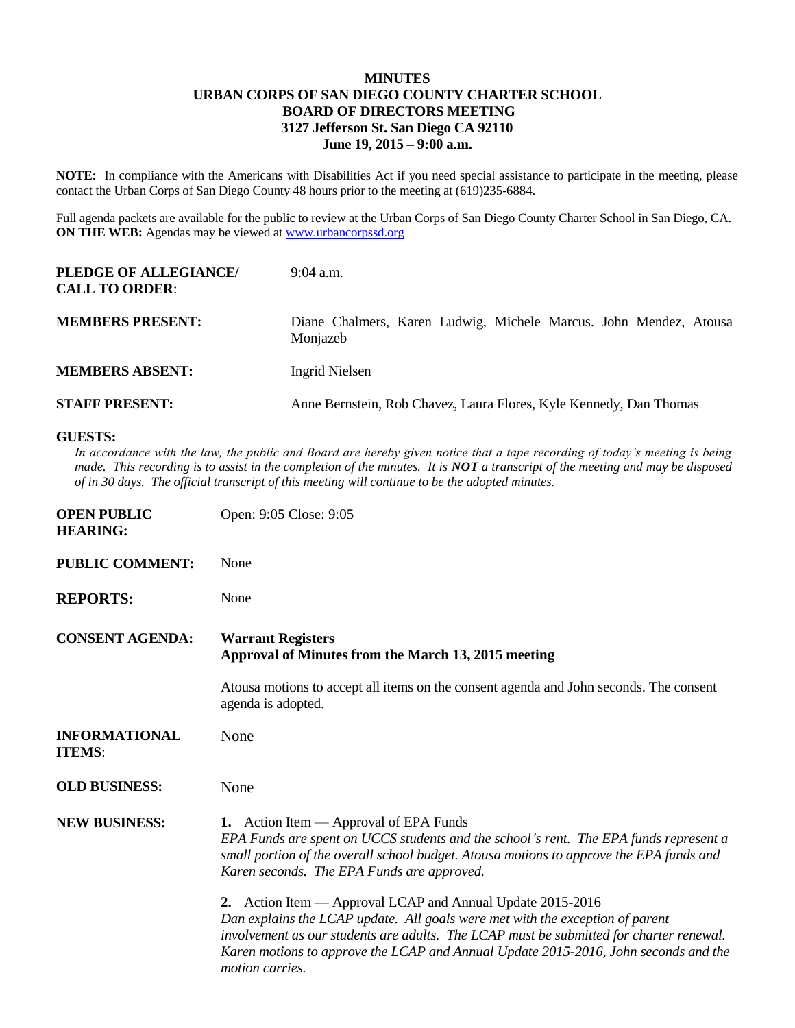## **MINUTES URBAN CORPS OF SAN DIEGO COUNTY CHARTER SCHOOL BOARD OF DIRECTORS MEETING 3127 Jefferson St. San Diego CA 92110 June 19, 2015 – 9:00 a.m.**

**NOTE:** In compliance with the Americans with Disabilities Act if you need special assistance to participate in the meeting, please contact the Urban Corps of San Diego County 48 hours prior to the meeting at (619)235-6884.

Full agenda packets are available for the public to review at the Urban Corps of San Diego County Charter School in San Diego, CA. **ON THE WEB:** Agendas may be viewed at **www.urbancorpssd.org** 

| PLEDGE OF ALLEGIANCE/<br><b>CALL TO ORDER:</b> | $9:04$ a.m.                                                                   |
|------------------------------------------------|-------------------------------------------------------------------------------|
| <b>MEMBERS PRESENT:</b>                        | Diane Chalmers, Karen Ludwig, Michele Marcus. John Mendez, Atousa<br>Monjazeb |
| <b>MEMBERS ABSENT:</b>                         | Ingrid Nielsen                                                                |
| <b>STAFF PRESENT:</b>                          | Anne Bernstein, Rob Chavez, Laura Flores, Kyle Kennedy, Dan Thomas            |

## **GUESTS:**

In accordance with the law, the public and Board are hereby given notice that a tape recording of today's meeting is being *made. This recording is to assist in the completion of the minutes. It is NOT a transcript of the meeting and may be disposed of in 30 days. The official transcript of this meeting will continue to be the adopted minutes.*

| <b>OPEN PUBLIC</b><br><b>HEARING:</b> | Open: 9:05 Close: 9:05                                                                                                                                                                                                                                                                                                                           |
|---------------------------------------|--------------------------------------------------------------------------------------------------------------------------------------------------------------------------------------------------------------------------------------------------------------------------------------------------------------------------------------------------|
| <b>PUBLIC COMMENT:</b>                | None                                                                                                                                                                                                                                                                                                                                             |
| <b>REPORTS:</b>                       | None                                                                                                                                                                                                                                                                                                                                             |
| <b>CONSENT AGENDA:</b>                | <b>Warrant Registers</b><br>Approval of Minutes from the March 13, 2015 meeting                                                                                                                                                                                                                                                                  |
|                                       | Atousa motions to accept all items on the consent agenda and John seconds. The consent<br>agenda is adopted.                                                                                                                                                                                                                                     |
| <b>INFORMATIONAL</b><br><b>ITEMS:</b> | None                                                                                                                                                                                                                                                                                                                                             |
| <b>OLD BUSINESS:</b>                  | None                                                                                                                                                                                                                                                                                                                                             |
| <b>NEW BUSINESS:</b>                  | 1. Action Item — Approval of EPA Funds<br>EPA Funds are spent on UCCS students and the school's rent. The EPA funds represent a<br>small portion of the overall school budget. Atousa motions to approve the EPA funds and<br>Karen seconds. The EPA Funds are approved.                                                                         |
|                                       | 2. Action Item — Approval LCAP and Annual Update 2015-2016<br>Dan explains the LCAP update. All goals were met with the exception of parent<br>involvement as our students are adults. The LCAP must be submitted for charter renewal.<br>Karen motions to approve the LCAP and Annual Update 2015-2016, John seconds and the<br>motion carries. |